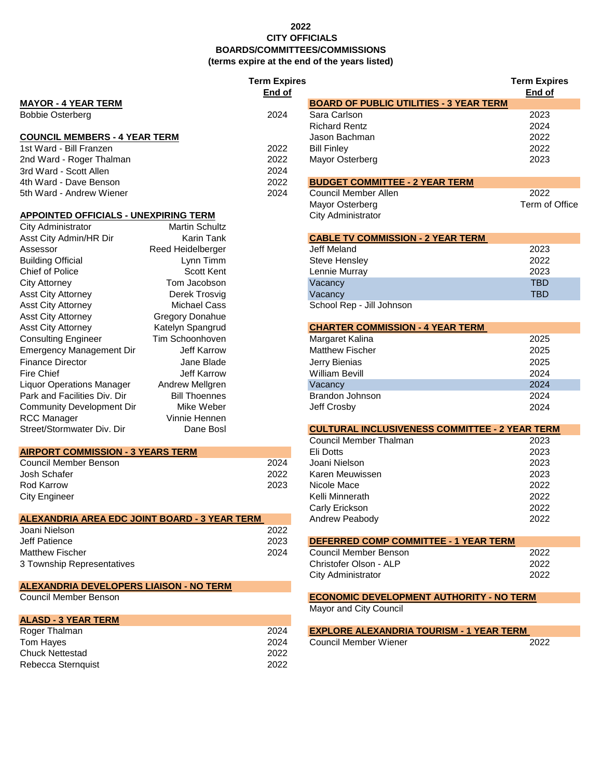#### **2022 CITY OFFICIALS BOARDS/COMMITTEES/COMMISSIONS (terms expire at the end of the years listed)**

|                                                                |                        | <b>Term Expires</b><br>End of |                                                       | <b>Term Expire</b><br>End of |
|----------------------------------------------------------------|------------------------|-------------------------------|-------------------------------------------------------|------------------------------|
| <b>MAYOR - 4 YEAR TERM</b>                                     |                        |                               | <b>BOARD OF PUBLIC UTILITIES - 3 YEAR TERM</b>        |                              |
| <b>Bobbie Osterberg</b>                                        |                        | 2024                          | Sara Carlson                                          | 2023                         |
|                                                                |                        |                               | <b>Richard Rentz</b>                                  | 2024                         |
| <b>COUNCIL MEMBERS - 4 YEAR TERM</b>                           |                        |                               | Jason Bachman                                         | 2022                         |
| 1st Ward - Bill Franzen                                        |                        | 2022                          | <b>Bill Finley</b>                                    | 2022                         |
| 2nd Ward - Roger Thalman                                       |                        | 2022                          | Mayor Osterberg                                       | 2023                         |
| 3rd Ward - Scott Allen                                         |                        | 2024                          |                                                       |                              |
| 4th Ward - Dave Benson                                         |                        | 2022                          | <b>BUDGET COMMITTEE - 2 YEAR TERM</b>                 |                              |
| 5th Ward - Andrew Wiener                                       |                        | 2024                          | Council Member Allen                                  | 2022                         |
|                                                                |                        |                               | Mayor Osterberg                                       | Term of C                    |
| <b>APPOINTED OFFICIALS - UNEXPIRING TERM</b>                   |                        |                               | City Administrator                                    |                              |
| City Administrator                                             | <b>Martin Schultz</b>  |                               |                                                       |                              |
| Asst City Admin/HR Dir                                         | Karin Tank             |                               | <b>CABLE TV COMMISSION - 2 YEAR TERM</b>              |                              |
| Assessor                                                       | Reed Heidelberger      |                               | Jeff Meland                                           | 2023                         |
| <b>Building Official</b>                                       | Lynn Timm              |                               | <b>Steve Hensley</b>                                  | 2022                         |
| <b>Chief of Police</b>                                         | <b>Scott Kent</b>      |                               | Lennie Murray                                         | 2023                         |
| <b>City Attorney</b>                                           | Tom Jacobson           |                               | Vacancy                                               | <b>TBD</b>                   |
| <b>Asst City Attorney</b>                                      | Derek Trosvig          |                               | Vacancy                                               | <b>TBD</b>                   |
| <b>Asst City Attorney</b>                                      | <b>Michael Cass</b>    |                               | School Rep - Jill Johnson                             |                              |
| <b>Asst City Attorney</b>                                      | <b>Gregory Donahue</b> |                               |                                                       |                              |
| <b>Asst City Attorney</b>                                      | Katelyn Spangrud       |                               | <b>CHARTER COMMISSION - 4 YEAR TERM</b>               |                              |
| <b>Consulting Engineer</b>                                     | Tim Schoonhoven        |                               | Margaret Kalina                                       | 2025                         |
| <b>Emergency Management Dir</b>                                | <b>Jeff Karrow</b>     |                               | <b>Matthew Fischer</b>                                | 2025                         |
| <b>Finance Director</b>                                        | Jane Blade             |                               | Jerry Bienias                                         | 2025                         |
| <b>Fire Chief</b>                                              | Jeff Karrow            |                               | <b>William Bevill</b>                                 | 2024                         |
| <b>Liquor Operations Manager</b>                               | Andrew Mellgren        |                               | Vacancy                                               | 2024                         |
| Park and Facilities Div. Dir                                   | <b>Bill Thoennes</b>   |                               | Brandon Johnson                                       | 2024                         |
| <b>Community Development Dir</b>                               | Mike Weber             |                               | Jeff Crosby                                           | 2024                         |
| <b>RCC Manager</b>                                             | Vinnie Hennen          |                               |                                                       |                              |
| Street/Stormwater Div. Dir                                     | Dane Bosl              |                               | <b>CULTURAL INCLUSIVENESS COMMITTEE - 2 YEAR TERM</b> |                              |
|                                                                |                        |                               | Council Member Thalman                                | 2023                         |
| <b>AIRPORT COMMISSION - 3 YEARS TERM</b>                       |                        |                               | Eli Dotts                                             | 2023                         |
| <b>Council Member Benson</b>                                   |                        | 2024                          | Joani Nielson                                         | 2023                         |
| Josh Schafer                                                   |                        | 2022                          | Karen Meuwissen                                       | 2023                         |
| <b>Rod Karrow</b>                                              |                        | 2023                          | Nicole Mace                                           | 2022                         |
|                                                                |                        |                               | Kelli Minnerath                                       | 2022                         |
| <b>City Engineer</b>                                           |                        |                               |                                                       | 2022                         |
|                                                                |                        |                               | Carly Erickson                                        |                              |
| ALEXANDRIA AREA EDC JOINT BOARD - 3 YEAR TERM<br>Joani Nielson |                        | 2022                          | Andrew Peabody                                        | 2022                         |
|                                                                |                        | 2023                          |                                                       |                              |
| Jeff Patience                                                  |                        |                               | DEFERRED COMP COMMITTEE - 1 YEAR TERM                 |                              |
| <b>Matthew Fischer</b>                                         |                        | 2024                          | <b>Council Member Benson</b>                          | 2022                         |
| 3 Township Representatives                                     |                        |                               | Christofer Olson - ALP                                | 2022                         |
|                                                                |                        |                               | City Administrator                                    | 2022                         |
| <b>ALEXANDRIA DEVELOPERS LIAISON - NO TERM</b>                 |                        |                               |                                                       |                              |
| <b>Council Member Benson</b>                                   |                        |                               | <b>ECONOMIC DEVELOPMENT AUTHORITY - NO TERM</b>       |                              |
|                                                                |                        |                               | Mayor and City Council                                |                              |
| <b>ALASD - 3 YEAR TERM</b>                                     |                        |                               |                                                       |                              |
| Roger Thalman                                                  |                        | 2024                          | <b>EXPLORE ALEXANDRIA TOURISM - 1 YEAR TERM</b>       |                              |
| Tom Hayes                                                      |                        | 2024                          | <b>Council Member Wiener</b>                          | 2022                         |

Chuck Nettestad 2022 Rebecca Sternquist 2022 **Term Expires Term Expires End of End of**

Term of Office

### **COUNCIL MEMBER BENSON BENS**

## **ROGER THALMAN 2024 THALMAR 2024 THALMAR**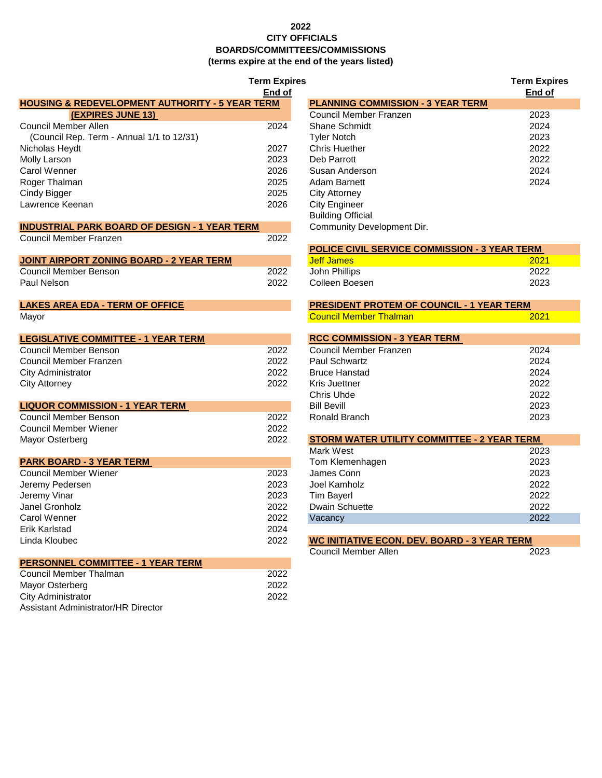### **2022 CITY OFFICIALS BOARDS/COMMITTEES/COMMISSIONS (terms expire at the end of the years listed)**

|                                                            | <b>Term Expires</b> |                                                      | <b>Term Exp</b> |
|------------------------------------------------------------|---------------------|------------------------------------------------------|-----------------|
|                                                            | End of              |                                                      | End o           |
| <b>HOUSING &amp; REDEVELOPMENT AUTHORITY - 5 YEAR TERM</b> |                     | <b>PLANNING COMMISSION - 3 YEAR TERM</b>             |                 |
| (EXPIRES JUNE 13)                                          |                     | Council Member Franzen                               | 2023            |
| <b>Council Member Allen</b>                                | 2024                | Shane Schmidt                                        | 2024            |
| (Council Rep. Term - Annual 1/1 to 12/31)                  |                     | <b>Tyler Notch</b>                                   | 2023            |
| Nicholas Heydt                                             | 2027                | <b>Chris Huether</b>                                 | 2022            |
| Molly Larson                                               | 2023                | Deb Parrott                                          | 2022            |
| Carol Wenner                                               | 2026                | Susan Anderson                                       | 2024            |
| Roger Thalman                                              | 2025                | <b>Adam Barnett</b>                                  | 2024            |
| Cindy Bigger                                               | 2025                | <b>City Attorney</b>                                 |                 |
| Lawrence Keenan                                            | 2026                | <b>City Engineer</b>                                 |                 |
|                                                            |                     | <b>Building Official</b>                             |                 |
| <b>INDUSTRIAL PARK BOARD OF DESIGN - 1 YEAR TERM</b>       |                     | Community Development Dir.                           |                 |
| Council Member Franzen                                     | 2022                |                                                      |                 |
|                                                            |                     | <b>POLICE CIVIL SERVICE COMMISSION - 3 YEAR TERM</b> |                 |
| <b>JOINT AIRPORT ZONING BOARD - 2 YEAR TERM</b>            |                     | <b>Jeff James</b>                                    | 2021            |
| <b>Council Member Benson</b>                               | 2022                | John Phillips                                        | 2022            |
| Paul Nelson                                                | 2022                | Colleen Boesen                                       | 2023            |
|                                                            |                     |                                                      |                 |
| <b>LAKES AREA EDA - TERM OF OFFICE</b>                     |                     | <b>PRESIDENT PROTEM OF COUNCIL - 1 YEAR TERM</b>     |                 |
| Mayor                                                      |                     | <b>Council Member Thalman</b>                        | 2021            |
| <b>LEGISLATIVE COMMITTEE - 1 YEAR TERM</b>                 |                     | <b>RCC COMMISSION - 3 YEAR TERM</b>                  |                 |
| <b>Council Member Benson</b>                               | 2022                | Council Member Franzen                               | 2024            |
| Council Member Franzen                                     | 2022                | <b>Paul Schwartz</b>                                 | 2024            |
| <b>City Administrator</b>                                  | 2022                | <b>Bruce Hanstad</b>                                 | 2024            |
| <b>City Attorney</b>                                       | 2022                | Kris Juettner                                        | 2022            |
|                                                            |                     | Chris Uhde                                           | 2022            |
| <b>LIQUOR COMMISSION - 1 YEAR TERM</b>                     |                     | <b>Bill Bevill</b>                                   | 2023            |
| <b>Council Member Benson</b>                               | 2022                | Ronald Branch                                        | 2023            |
| <b>Council Member Wiener</b>                               | 2022                |                                                      |                 |
| Mayor Osterberg                                            | 2022                | STORM WATER UTILITY COMMITTEE - 2 YEAR TERM          |                 |
|                                                            |                     | Mark West                                            | 2023            |
| <b>PARK BOARD - 3 YEAR TERM</b>                            |                     | Tom Klemenhagen                                      | 2023            |
| <b>Council Member Wiener</b>                               | 2023                | James Conn                                           | 2023            |
| Jeremy Pedersen                                            | 2023                | Joel Kamholz                                         | 2022            |
| Jeremy Vinar                                               | 2023                | <b>Tim Bayerl</b>                                    | 2022            |
| Janel Gronholz                                             | 2022                | <b>Dwain Schuette</b>                                | 2022            |
| Carol Wenner                                               | 2022                | Vacancy                                              | 2022            |
| Erik Karlstad                                              | 2024                |                                                      |                 |
| Linda Kloubec                                              | 2022                | <b>WC INITIATIVE ECON. DEV. BOARD - 3 YEAR TERM</b>  |                 |
|                                                            |                     | <b>Council Member Allen</b>                          | 2023            |
| <b>PERSONNEL COMMITTEE - 1 YEAR TERM</b>                   |                     |                                                      |                 |
| Council Member Thalman                                     | 2022                |                                                      |                 |
| Mayor Osterberg                                            | 2022                |                                                      |                 |
| <b>City Administrator</b>                                  | 2022                |                                                      |                 |
| Assistant Administrator/HR Director                        |                     |                                                      |                 |

|                                              | <b>Term Expires</b><br>End of |                                          | <b>Term Expires</b><br>End of |
|----------------------------------------------|-------------------------------|------------------------------------------|-------------------------------|
| <b>REDEVELOPMENT AUTHORITY - 5 YEAR TERM</b> |                               | <b>PLANNING COMMISSION - 3 YEAR TERM</b> |                               |
| <b>(EXPIRES JUNE 13)</b>                     |                               | Council Member Franzen                   | 2023                          |
| ıber Allen                                   | 2024                          | Shane Schmidt                            | 2024                          |
| ep. Term - Annual 1/1 to 12/31)              |                               | <b>Tyler Notch</b>                       | 2023                          |
| /dt                                          | 2027                          | Chris Huether                            | 2022                          |
|                                              | 2023                          | Deb Parrott                              | 2022                          |
|                                              | 2026                          | Susan Anderson                           | 2024                          |
| ıan                                          | 2025                          | Adam Barnett                             | 2024                          |
|                                              | 2025                          | <b>City Attorney</b>                     |                               |
| enan                                         | 2026                          | <b>City Engineer</b>                     |                               |
|                                              |                               | <b>Building Official</b>                 |                               |
| <b>L PARK BOARD OF DESIGN - 1 YEAR TERM</b>  |                               | Community Development Dir.               |                               |
|                                              |                               |                                          |                               |

| POLICE CIVIL SERVICE COMMISSION - 3 YEAR TERM |      |  |
|-----------------------------------------------|------|--|
| Jeff James:                                   | 2021 |  |
| John Phillips                                 | 2022 |  |
| Colleen Boesen                                | 2023 |  |
|                                               |      |  |

| <b>PRESIDENT PROTEM OF COUNCIL - 1 YEAR TERM</b> |      |  |
|--------------------------------------------------|------|--|
| <b>Council Member Thalman</b>                    | 2021 |  |
|                                                  |      |  |
| <b>RCC COMMISSION - 3 YEAR TERM</b>              |      |  |
| Council Member Franzen                           | 2024 |  |
| Paul Schwartz                                    | 2024 |  |
| <b>Bruce Hanstad</b>                             | 2024 |  |
| Kris Juettner                                    | 2022 |  |
| Chris Uhde                                       | 2022 |  |
| <b>Bill Bevill</b>                               | 2023 |  |
| Ronald Branch                                    | 2023 |  |
|                                                  |      |  |
| STORM WATER UTILITY COMMITTEE - 2 YEAR TERM      |      |  |
| .                                                |      |  |

| Mark West             | 2023 |
|-----------------------|------|
| Tom Klemenhagen       | 2023 |
| James Conn            | 2023 |
| Joel Kamholz          | 2022 |
| <b>Tim Bayerl</b>     | 2022 |
| <b>Dwain Schuette</b> | 2022 |
| Vacancy               | 2022 |
|                       |      |

| WC INITIATIVE ECON. DEV. BOARD - 3 YEAR TERM |      |
|----------------------------------------------|------|
| Council Member Allen                         | 2023 |